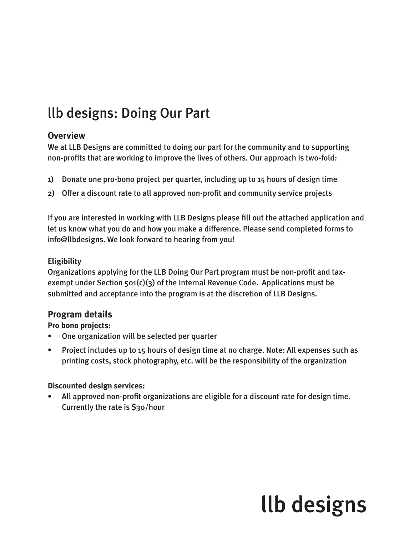## llb designs: Doing Our Part

## **Overview**

We at LLB Designs are committed to doing our part for the community and to supporting non-profits that are working to improve the lives of others. Our approach is two-fold:

- 1) Donate one pro-bono project per quarter, including up to 15 hours of design time
- 2) Offer a discount rate to all approved non-profit and community service projects

If you are interested in working with LLB Designs please fill out the attached application and let us know what you do and how you make a difference. Please send completed forms to info@llbdesigns. We look forward to hearing from you!

#### **Eligibility**

Organizations applying for the LLB Doing Our Part program must be non-profit and taxexempt under Section  $501(c)(3)$  of the Internal Revenue Code. Applications must be submitted and acceptance into the program is at the discretion of LLB Designs.

## **Program details**

**Pro bono projects:**

- One organization will be selected per quarter
- Project includes up to 15 hours of design time at no charge. Note: All expenses such as printing costs, stock photography, etc. will be the responsibility of the organization

## **Discounted design services:**

• All approved non-profit organizations are eligible for a discount rate for design time. Currently the rate is \$30/hour

# llb designs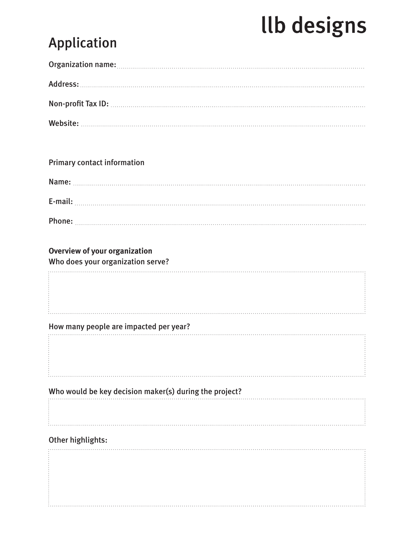# **Ilb designs**

## Application

Primary contact information

| Name:   |  |  |  |  |  |
|---------|--|--|--|--|--|
| E-mail: |  |  |  |  |  |
| Phone:  |  |  |  |  |  |

## **Overview of your organization**

Who does your organization serve?

## How many people are impacted per year?

## Who would be key decision maker(s) during the project?

## Other highlights:

. . . . . . . . . . . . .